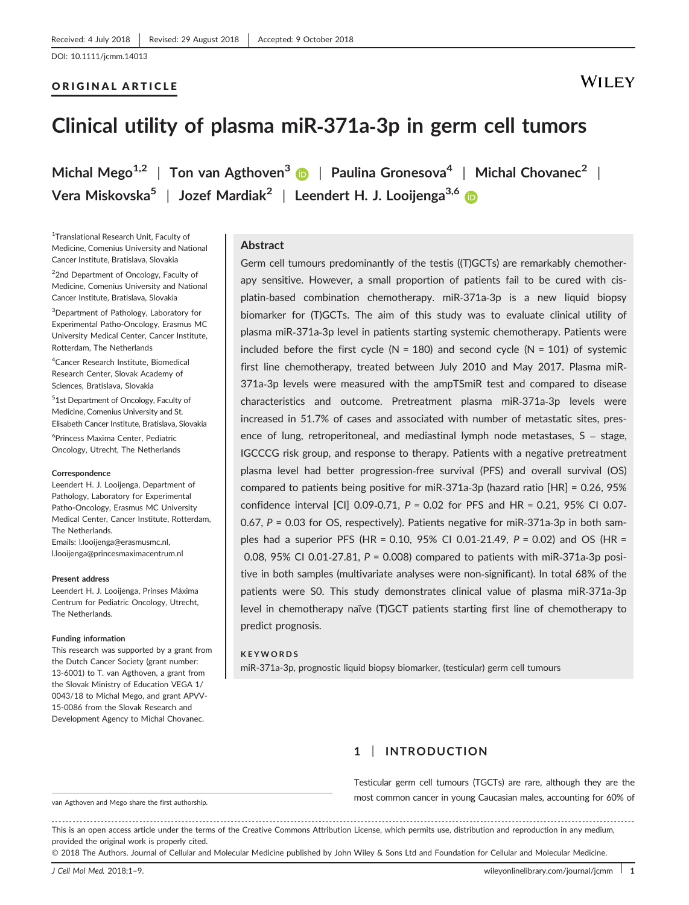## ORIGINAL ARTICLE

## **WILEY**

## **Clinical utility of plasma miR‐371a‐3p in germ cell tumors**

**Michal Mego1,2** | **Ton van Agthoven[3](http://orcid.org/0000-0002-8795-109X)** | **Paulina Gronesova<sup>4</sup>** | **Michal Chovanec<sup>2</sup>** | **Vera Miskovska<sup>5</sup>** | **Jozef Mardiak<sup>2</sup>** | **Leendert H. J. Looijenga3,[6](https://orcid.org/0000-0002-8146-1911)**

1 Translational Research Unit, Faculty of Medicine, Comenius University and National Cancer Institute, Bratislava, Slovakia

<sup>2</sup>2nd Department of Oncology, Faculty of Medicine, Comenius University and National Cancer Institute, Bratislava, Slovakia

3 Department of Pathology, Laboratory for Experimental Patho-Oncology, Erasmus MC University Medical Center, Cancer Institute, Rotterdam, The Netherlands

4 Cancer Research Institute, Biomedical Research Center, Slovak Academy of Sciences, Bratislava, Slovakia

5 1st Department of Oncology, Faculty of Medicine, Comenius University and St. Elisabeth Cancer Institute, Bratislava, Slovakia

6 Princess Maxima Center, Pediatric Oncology, Utrecht, The Netherlands

#### **Correspondence**

Leendert H. J. Looijenga, Department of Pathology, Laboratory for Experimental Patho-Oncology, Erasmus MC University Medical Center, Cancer Institute, Rotterdam, The Netherlands. Emails: l.looijenga@erasmusmc.nl, l.looijenga@princesmaximacentrum.nl

#### **Present address**

Leendert H. J. Looijenga, Prinses Máxima Centrum for Pediatric Oncology, Utrecht, The Netherlands.

#### **Funding information**

This research was supported by a grant from the Dutch Cancer Society (grant number: 13-6001) to T. van Agthoven, a grant from the Slovak Ministry of Education VEGA 1/ 0043/18 to Michal Mego, and grant APVV-15-0086 from the Slovak Research and Development Agency to Michal Chovanec.

#### **Abstract**

Germ cell tumours predominantly of the testis ((T)GCTs) are remarkably chemotherapy sensitive. However, a small proportion of patients fail to be cured with cisplatin‐based combination chemotherapy. miR‐371a‐3p is a new liquid biopsy biomarker for (T)GCTs. The aim of this study was to evaluate clinical utility of plasma miR‐371a‐3p level in patients starting systemic chemotherapy. Patients were included before the first cycle  $(N = 180)$  and second cycle  $(N = 101)$  of systemic first line chemotherapy, treated between July 2010 and May 2017. Plasma miR‐ 371a‐3p levels were measured with the ampTSmiR test and compared to disease characteristics and outcome. Pretreatment plasma miR‐371a‐3p levels were increased in 51.7% of cases and associated with number of metastatic sites, presence of lung, retroperitoneal, and mediastinal lymph node metastases, S – stage, IGCCCG risk group, and response to therapy. Patients with a negative pretreatment plasma level had better progression‐free survival (PFS) and overall survival (OS) compared to patients being positive for miR‐371a‐3p (hazard ratio [HR] = 0.26, 95% confidence interval [CI] 0.09‐0.71, *P* = 0.02 for PFS and HR = 0.21, 95% CI 0.07‐ 0.67, *P* = 0.03 for OS, respectively). Patients negative for miR‐371a‐3p in both samples had a superior PFS (HR = 0.10, 95% CI 0.01‐21.49, *P* = 0.02) and OS (HR = 0.08, 95% CI 0.01‐27.81, *P* = 0.008) compared to patients with miR‐371a‐3p positive in both samples (multivariate analyses were non‐significant). In total 68% of the patients were S0. This study demonstrates clinical value of plasma miR‐371a‐3p level in chemotherapy naïve (T)GCT patients starting first line of chemotherapy to predict prognosis.

#### **KEYWORDS**

miR-371a-3p, prognostic liquid biopsy biomarker, (testicular) germ cell tumours

## **1** | **INTRODUCTION**

Testicular germ cell tumours (TGCTs) are rare, although they are the wan Agthoven and Mego share the first authorship. The most common cancer in young Caucasian males, accounting for 60% of

------------------------------------------------------------------------------------------------------------------------------- --------------------------------------- This is an open access article under the terms of the [Creative Commons Attribution](http://creativecommons.org/licenses/by/4.0/) License, which permits use, distribution and reproduction in any medium, provided the original work is properly cited.

© 2018 The Authors. Journal of Cellular and Molecular Medicine published by John Wiley & Sons Ltd and Foundation for Cellular and Molecular Medicine.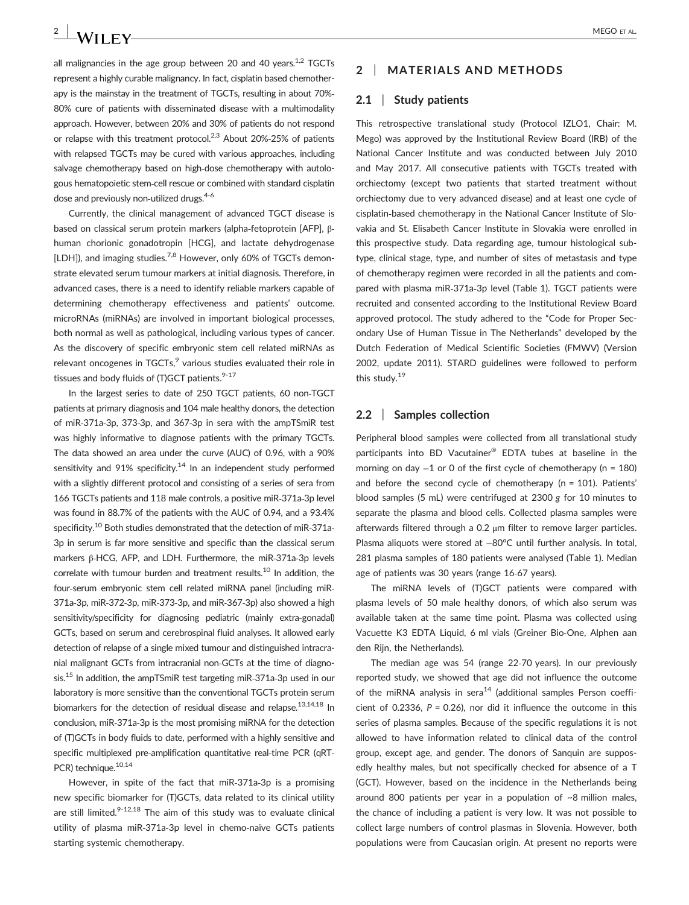all malignancies in the age group between 20 and 40 years. $1.2$  TGCTs represent a highly curable malignancy. In fact, cisplatin based chemotherapy is the mainstay in the treatment of TGCTs, resulting in about 70%‐ 80% cure of patients with disseminated disease with a multimodality approach. However, between 20% and 30% of patients do not respond or relapse with this treatment protocol.<sup>2,3</sup> About 20%-25% of patients with relapsed TGCTs may be cured with various approaches, including salvage chemotherapy based on high-dose chemotherapy with autologous hematopoietic stem‐cell rescue or combined with standard cisplatin dose and previously non-utilized drugs.<sup>4-6</sup>

Currently, the clinical management of advanced TGCT disease is based on classical serum protein markers (alpha‐fetoprotein [AFP], β‐ human chorionic gonadotropin [HCG], and lactate dehydrogenase [LDH]), and imaging studies.<sup>7,8</sup> However, only 60% of TGCTs demonstrate elevated serum tumour markers at initial diagnosis. Therefore, in advanced cases, there is a need to identify reliable markers capable of determining chemotherapy effectiveness and patients' outcome. microRNAs (miRNAs) are involved in important biological processes, both normal as well as pathological, including various types of cancer. As the discovery of specific embryonic stem cell related miRNAs as relevant oncogenes in  $TGCTs$ ,  $9$  various studies evaluated their role in tissues and body fluids of (T)GCT patients. $9-17$ 

In the largest series to date of 250 TGCT patients, 60 non‐TGCT patients at primary diagnosis and 104 male healthy donors, the detection of miR‐371a‐3p, 373‐3p, and 367‐3p in sera with the ampTSmiR test was highly informative to diagnose patients with the primary TGCTs. The data showed an area under the curve (AUC) of 0.96, with a 90% sensitivity and 91% specificity.<sup>14</sup> In an independent study performed with a slightly different protocol and consisting of a series of sera from 166 TGCTs patients and 118 male controls, a positive miR‐371a‐3p level was found in 88.7% of the patients with the AUC of 0.94, and a 93.4% specificity.<sup>10</sup> Both studies demonstrated that the detection of miR-371a-3p in serum is far more sensitive and specific than the classical serum markers β‐HCG, AFP, and LDH. Furthermore, the miR‐371a‐3p levels correlate with tumour burden and treatment results.<sup>10</sup> In addition, the four‐serum embryonic stem cell related miRNA panel (including miR‐ 371a‐3p, miR‐372‐3p, miR‐373‐3p, and miR‐367‐3p) also showed a high sensitivity/specificity for diagnosing pediatric (mainly extra-gonadal) GCTs, based on serum and cerebrospinal fluid analyses. It allowed early detection of relapse of a single mixed tumour and distinguished intracranial malignant GCTs from intracranial non‐GCTs at the time of diagnosis.15 In addition, the ampTSmiR test targeting miR‐371a‐3p used in our laboratory is more sensitive than the conventional TGCTs protein serum biomarkers for the detection of residual disease and relapse.<sup>13,14,18</sup> In conclusion, miR‐371a‐3p is the most promising miRNA for the detection of (T)GCTs in body fluids to date, performed with a highly sensitive and specific multiplexed pre-amplification quantitative real-time PCR (qRT-PCR) technique.<sup>10,14</sup>

However, in spite of the fact that miR‐371a‐3p is a promising new specific biomarker for (T)GCTs, data related to its clinical utility are still limited. $9-12,18$  The aim of this study was to evaluate clinical utility of plasma miR‐371a‐3p level in chemo‐naïve GCTs patients starting systemic chemotherapy.

## **2** | **MATERIALS AND METHODS**

## **2.1** | **Study patients**

This retrospective translational study (Protocol IZLO1, Chair: M. Mego) was approved by the Institutional Review Board (IRB) of the National Cancer Institute and was conducted between July 2010 and May 2017. All consecutive patients with TGCTs treated with orchiectomy (except two patients that started treatment without orchiectomy due to very advanced disease) and at least one cycle of cisplatin‐based chemotherapy in the National Cancer Institute of Slovakia and St. Elisabeth Cancer Institute in Slovakia were enrolled in this prospective study. Data regarding age, tumour histological subtype, clinical stage, type, and number of sites of metastasis and type of chemotherapy regimen were recorded in all the patients and compared with plasma miR‐371a‐3p level (Table 1). TGCT patients were recruited and consented according to the Institutional Review Board approved protocol. The study adhered to the "Code for Proper Secondary Use of Human Tissue in The Netherlands" developed by the Dutch Federation of Medical Scientific Societies (FMWV) (Version 2002, update 2011). STARD guidelines were followed to perform this study.19

## **2.2** | **Samples collection**

Peripheral blood samples were collected from all translational study participants into BD Vacutainer® EDTA tubes at baseline in the morning on day −1 or 0 of the first cycle of chemotherapy (n = 180) and before the second cycle of chemotherapy (n = 101). Patients' blood samples (5 mL) were centrifuged at 2300 *g* for 10 minutes to separate the plasma and blood cells. Collected plasma samples were afterwards filtered through a 0.2 μm filter to remove larger particles. Plasma aliquots were stored at −80°C until further analysis. In total, 281 plasma samples of 180 patients were analysed (Table 1). Median age of patients was 30 years (range 16‐67 years).

The miRNA levels of (T)GCT patients were compared with plasma levels of 50 male healthy donors, of which also serum was available taken at the same time point. Plasma was collected using Vacuette K3 EDTA Liquid, 6 ml vials (Greiner Bio‐One, Alphen aan den Rijn, the Netherlands).

The median age was 54 (range 22‐70 years). In our previously reported study, we showed that age did not influence the outcome of the miRNA analysis in sera<sup>14</sup> (additional samples Person coefficient of 0.2336, *P* = 0.26), nor did it influence the outcome in this series of plasma samples. Because of the specific regulations it is not allowed to have information related to clinical data of the control group, except age, and gender. The donors of Sanquin are supposedly healthy males, but not specifically checked for absence of a T (GCT). However, based on the incidence in the Netherlands being around 800 patients per year in a population of ~8 million males, the chance of including a patient is very low. It was not possible to collect large numbers of control plasmas in Slovenia. However, both populations were from Caucasian origin. At present no reports were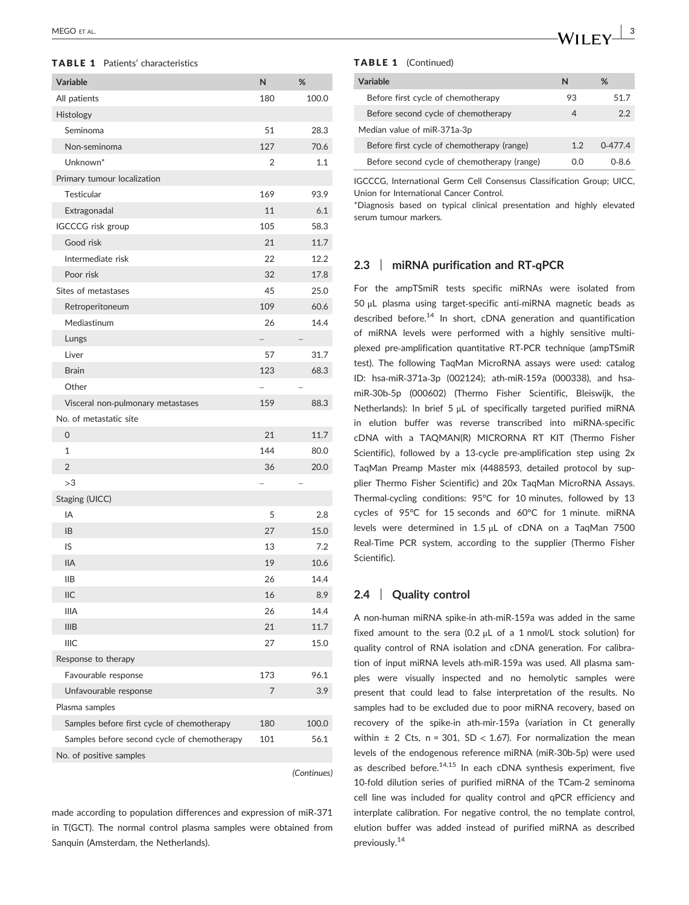## TABLE 1 Patients' characteristics

| Variable                                    | N              | %     |
|---------------------------------------------|----------------|-------|
| All patients                                | 180            | 100.0 |
| Histology                                   |                |       |
| Seminoma                                    | 51             | 28.3  |
| Non-seminoma                                | 127            | 70.6  |
| Unknown*                                    | $\overline{2}$ | 1.1   |
| Primary tumour localization                 |                |       |
| Testicular                                  | 169            | 93.9  |
| Extragonadal                                | 11             | 6.1   |
| IGCCCG risk group                           | 105            | 58.3  |
| Good risk                                   | 21             | 11.7  |
| Intermediate risk                           | 22             | 12.2  |
| Poor risk                                   | 32             | 17.8  |
| Sites of metastases                         | 45             | 25.0  |
| Retroperitoneum                             | 109            | 60.6  |
| Mediastinum                                 | 26             | 14.4  |
| Lungs                                       |                |       |
| Liver                                       | 57             | 31.7  |
| <b>Brain</b>                                | 123            | 68.3  |
| Other                                       |                |       |
| Visceral non-pulmonary metastases           | 159            | 88.3  |
| No. of metastatic site                      |                |       |
| 0                                           | 21             | 11.7  |
| $\mathbf{1}$                                | 144            | 80.0  |
| $\overline{2}$                              | 36             | 20.0  |
| >3                                          |                |       |
| Staging (UICC)                              |                |       |
| IΑ                                          | 5              | 2.8   |
| IB                                          | 27             | 15.0  |
| IS                                          | 13             | 7.2   |
| <b>IIA</b>                                  | 19             | 10.6  |
| <b>IIB</b>                                  | 26             | 14.4  |
| <b>IIC</b>                                  | 16             | 8.9   |
| <b>IIIA</b>                                 | 26             | 14.4  |
| <b>IIIB</b>                                 | 21             | 11.7  |
| <b>IIIC</b>                                 | 27             | 15.0  |
| Response to therapy                         |                |       |
| Favourable response                         | 173            | 96.1  |
| Unfavourable response                       | 7              | 3.9   |
| Plasma samples                              |                |       |
| Samples before first cycle of chemotherapy  | 180            | 100.0 |
| Samples before second cycle of chemotherapy | 101            | 56.1  |
| No. of positive samples                     |                |       |

*(Continues)*

made according to population differences and expression of miR‐371 in T(GCT). The normal control plasma samples were obtained from Sanquin (Amsterdam, the Netherlands).

#### TABLE 1 (Continued)

| Variable                                    | N   | %            |
|---------------------------------------------|-----|--------------|
| Before first cycle of chemotherapy          | 93  | 51.7         |
| Before second cycle of chemotherapy         | 4   | 2.2          |
| Median value of miR-371a-3p                 |     |              |
| Before first cycle of chemotherapy (range)  | 1.2 | $0-477.4$    |
| Before second cycle of chemotherapy (range) | 0.O | <u>በ-8 ሐ</u> |

IGCCCG, International Germ Cell Consensus Classification Group; UICC, Union for International Cancer Control.

\*Diagnosis based on typical clinical presentation and highly elevated serum tumour markers.

## **2.3** | **miRNA purification and RT‐qPCR**

For the ampTSmiR tests specific miRNAs were isolated from 50 μL plasma using target‐specific anti‐miRNA magnetic beads as described before.<sup>14</sup> In short, cDNA generation and quantification of miRNA levels were performed with a highly sensitive multiplexed pre‐amplification quantitative RT‐PCR technique (ampTSmiR test). The following TaqMan MicroRNA assays were used: catalog ID: hsa‐miR‐371a‐3p (002124); ath‐miR‐159a (000338), and hsa‐ miR‐30b‐5p (000602) (Thermo Fisher Scientific, Bleiswijk, the Netherlands): In brief 5 μL of specifically targeted purified miRNA in elution buffer was reverse transcribed into miRNA‐specific cDNA with a TAQMAN(R) MICRORNA RT KIT (Thermo Fisher Scientific), followed by a 13-cycle pre-amplification step using 2x TaqMan Preamp Master mix (4488593, detailed protocol by supplier Thermo Fisher Scientific) and 20x TaqMan MicroRNA Assays. Thermal-cycling conditions: 95°C for 10 minutes, followed by 13 cycles of 95°C for 15 seconds and 60°C for 1 minute. miRNA levels were determined in 1.5 μL of cDNA on a TaqMan 7500 Real‐Time PCR system, according to the supplier (Thermo Fisher Scientific).

## **2.4** | **Quality control**

A non‐human miRNA spike‐in ath‐miR‐159a was added in the same fixed amount to the sera (0.2  $\mu$ L of a 1 nmol/L stock solution) for quality control of RNA isolation and cDNA generation. For calibration of input miRNA levels ath-miR-159a was used. All plasma samples were visually inspected and no hemolytic samples were present that could lead to false interpretation of the results. No samples had to be excluded due to poor miRNA recovery, based on recovery of the spike-in ath-mir-159a (variation in Ct generally within  $\pm$  2 Cts, n = 301, SD < 1.67). For normalization the mean levels of the endogenous reference miRNA (miR‐30b‐5p) were used as described before. $14,15$  In each cDNA synthesis experiment, five 10-fold dilution series of purified miRNA of the TCam-2 seminoma cell line was included for quality control and qPCR efficiency and interplate calibration. For negative control, the no template control, elution buffer was added instead of purified miRNA as described previously.<sup>14</sup>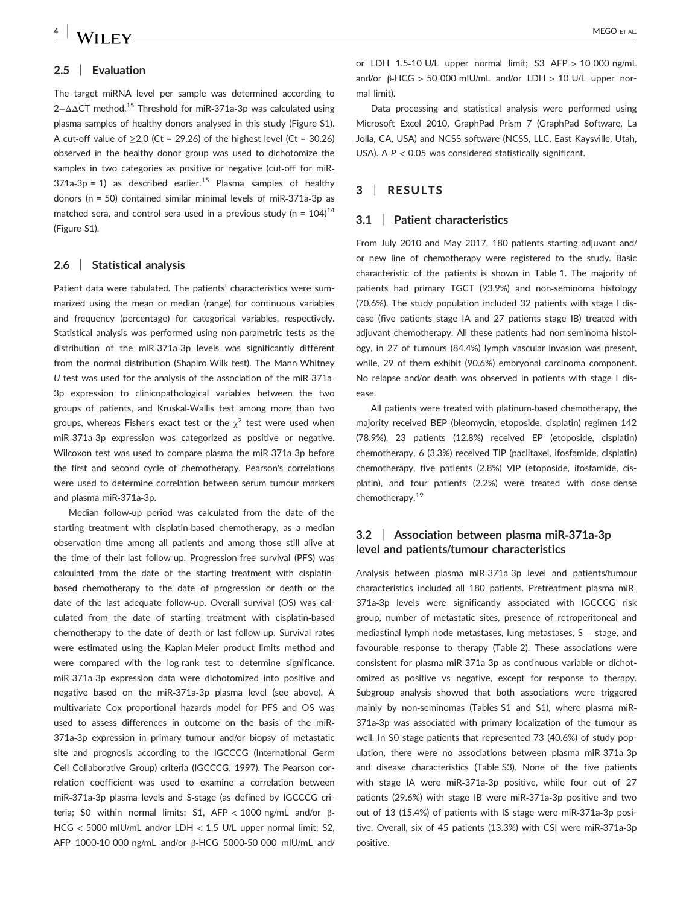## **2.5** | **Evaluation**

The target miRNA level per sample was determined according to 2−ΔΔCT method.15 Threshold for miR‐371a‐3p was calculated using plasma samples of healthy donors analysed in this study (Figure S1). A cut-off value of  $\geq$  2.0 (Ct = 29.26) of the highest level (Ct = 30.26) observed in the healthy donor group was used to dichotomize the samples in two categories as positive or negative (cut-off for miR- $371a-3p = 1$  as described earlier.<sup>15</sup> Plasma samples of healthy donors (n = 50) contained similar minimal levels of miR‐371a‐3p as matched sera, and control sera used in a previous study (n =  $104$ )<sup>14</sup> (Figure S1).

#### **2.6** | **Statistical analysis**

Patient data were tabulated. The patients' characteristics were summarized using the mean or median (range) for continuous variables and frequency (percentage) for categorical variables, respectively. Statistical analysis was performed using non‐parametric tests as the distribution of the miR‐371a‐3p levels was significantly different from the normal distribution (Shapiro‐Wilk test). The Mann‐Whitney *U* test was used for the analysis of the association of the miR‐371a‐ 3p expression to clinicopathological variables between the two groups of patients, and Kruskal‐Wallis test among more than two groups, whereas Fisher's exact test or the  $\chi^2$  test were used when miR‐371a‐3p expression was categorized as positive or negative. Wilcoxon test was used to compare plasma the miR‐371a‐3p before the first and second cycle of chemotherapy. Pearson's correlations were used to determine correlation between serum tumour markers and plasma miR‐371a‐3p.

Median follow‐up period was calculated from the date of the starting treatment with cisplatin‐based chemotherapy, as a median observation time among all patients and among those still alive at the time of their last follow‐up. Progression‐free survival (PFS) was calculated from the date of the starting treatment with cisplatin‐ based chemotherapy to the date of progression or death or the date of the last adequate follow-up. Overall survival (OS) was calculated from the date of starting treatment with cisplatin‐based chemotherapy to the date of death or last follow‐up. Survival rates were estimated using the Kaplan‐Meier product limits method and were compared with the log-rank test to determine significance. miR‐371a‐3p expression data were dichotomized into positive and negative based on the miR‐371a‐3p plasma level (see above). A multivariate Cox proportional hazards model for PFS and OS was used to assess differences in outcome on the basis of the miR‐ 371a‐3p expression in primary tumour and/or biopsy of metastatic site and prognosis according to the IGCCCG (International Germ Cell Collaborative Group) criteria (IGCCCG, 1997). The Pearson correlation coefficient was used to examine a correlation between miR‐371a‐3p plasma levels and S‐stage (as defined by IGCCCG criteria; S0 within normal limits; S1, AFP < 1000 ng/mL and/or β‐ HCG < 5000 mIU/mL and/or LDH < 1.5 U/L upper normal limit; S2, AFP 1000‐10 000 ng/mL and/or β‐HCG 5000‐50 000 mIU/mL and/

or LDH 1.5-10 U/L upper normal limit; S3 AFP  $> 10000$  ng/mL and/or β‐HCG > 50 000 mIU/mL and/or LDH > 10 U/L upper normal limit).

Data processing and statistical analysis were performed using Microsoft Excel 2010, GraphPad Prism 7 (GraphPad Software, La Jolla, CA, USA) and NCSS software (NCSS, LLC, East Kaysville, Utah, USA). A *P* < 0.05 was considered statistically significant.

## **3** | **RESULTS**

## **3.1** | **Patient characteristics**

From July 2010 and May 2017, 180 patients starting adjuvant and/ or new line of chemotherapy were registered to the study. Basic characteristic of the patients is shown in Table 1. The majority of patients had primary TGCT (93.9%) and non‐seminoma histology (70.6%). The study population included 32 patients with stage I disease (five patients stage IA and 27 patients stage IB) treated with adjuvant chemotherapy. All these patients had non‐seminoma histology, in 27 of tumours (84.4%) lymph vascular invasion was present, while, 29 of them exhibit (90.6%) embryonal carcinoma component. No relapse and/or death was observed in patients with stage I disease.

All patients were treated with platinum‐based chemotherapy, the majority received BEP (bleomycin, etoposide, cisplatin) regimen 142 (78.9%), 23 patients (12.8%) received EP (etoposide, cisplatin) chemotherapy, 6 (3.3%) received TIP (paclitaxel, ifosfamide, cisplatin) chemotherapy, five patients (2.8%) VIP (etoposide, ifosfamide, cisplatin), and four patients (2.2%) were treated with dose‐dense chemotherapy.19

## **3.2** | **Association between plasma miR‐371a‐3p level and patients/tumour characteristics**

Analysis between plasma miR‐371a‐3p level and patients/tumour characteristics included all 180 patients. Pretreatment plasma miR‐ 371a‐3p levels were significantly associated with IGCCCG risk group, number of metastatic sites, presence of retroperitoneal and mediastinal lymph node metastases, lung metastases, S – stage, and favourable response to therapy (Table 2). These associations were consistent for plasma miR‐371a‐3p as continuous variable or dichotomized as positive vs negative, except for response to therapy. Subgroup analysis showed that both associations were triggered mainly by non-seminomas (Tables S1 and S1), where plasma miR-371a‐3p was associated with primary localization of the tumour as well. In S0 stage patients that represented 73 (40.6%) of study population, there were no associations between plasma miR‐371a‐3p and disease characteristics (Table S3). None of the five patients with stage IA were miR‐371a‐3p positive, while four out of 27 patients (29.6%) with stage IB were miR‐371a‐3p positive and two out of 13 (15.4%) of patients with IS stage were miR‐371a‐3p positive. Overall, six of 45 patients (13.3%) with CSI were miR‐371a‐3p positive.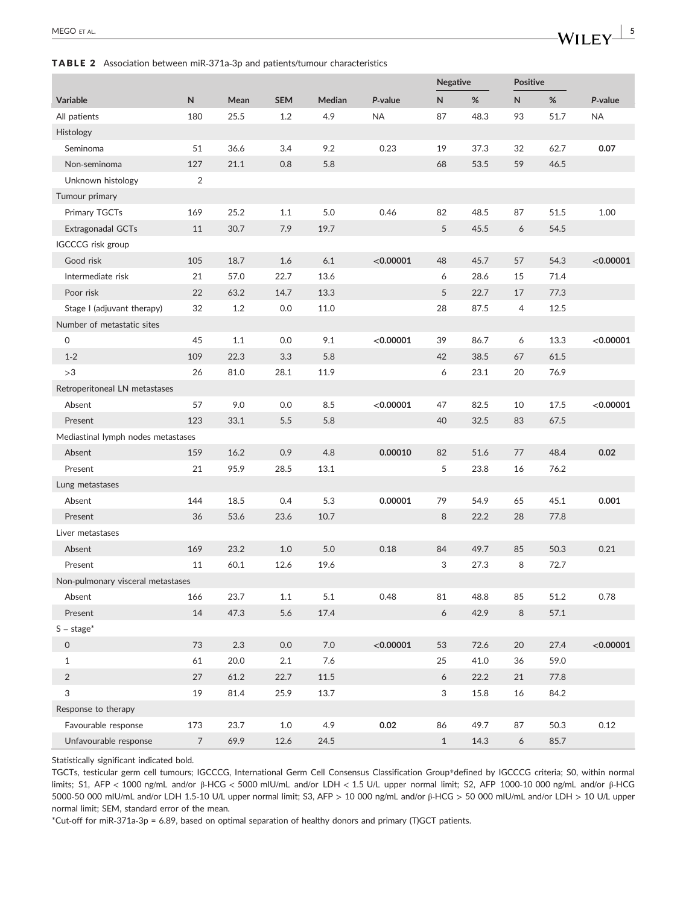## TABLE 2 Association between miR‐371a‐3p and patients/tumour characteristics

|                                    |                |      |            |          |           | Negative                  |      | <b>Positive</b> |          |           |
|------------------------------------|----------------|------|------------|----------|-----------|---------------------------|------|-----------------|----------|-----------|
| Variable                           | N              | Mean | <b>SEM</b> | Median   | P-value   | N                         | %    | N               | %        | P-value   |
| All patients                       | 180            | 25.5 | 1.2        | 4.9      | <b>NA</b> | 87                        | 48.3 | 93              | 51.7     | <b>NA</b> |
| Histology                          |                |      |            |          |           |                           |      |                 |          |           |
| Seminoma                           | 51             | 36.6 | 3.4        | 9.2      | 0.23      | 19                        | 37.3 | 32              | 62.7     | 0.07      |
| Non-seminoma                       | 127            | 21.1 | 0.8        | 5.8      |           | 68                        | 53.5 | 59              | 46.5     |           |
| Unknown histology                  | 2              |      |            |          |           |                           |      |                 |          |           |
| Tumour primary                     |                |      |            |          |           |                           |      |                 |          |           |
| Primary TGCTs                      | 169            | 25.2 | 1.1        | 5.0      | 0.46      | 82                        | 48.5 | 87              | 51.5     | 1.00      |
| Extragonadal GCTs                  | 11             | 30.7 | 7.9        | 19.7     |           | 5                         | 45.5 | 6               | 54.5     |           |
| <b>IGCCCG</b> risk group           |                |      |            |          |           |                           |      |                 |          |           |
| Good risk                          | 105            | 18.7 | 1.6        | 6.1      | < 0.00001 | 48                        | 45.7 | 57              | 54.3     | < 0.00001 |
| Intermediate risk                  | 21             | 57.0 | 22.7       | 13.6     |           | 6                         | 28.6 | 15              | 71.4     |           |
| Poor risk                          | 22             | 63.2 | 14.7       | 13.3     |           | 5                         | 22.7 | 17              | 77.3     |           |
| Stage I (adjuvant therapy)         | 32             | 1.2  | 0.0        | 11.0     |           | 28                        | 87.5 | 4               | 12.5     |           |
| Number of metastatic sites         |                |      |            |          |           |                           |      |                 |          |           |
| 0                                  | 45             | 1.1  | 0.0        | 9.1      | < 0.00001 | 39                        | 86.7 | 6               | 13.3     | < 0.00001 |
| $1 - 2$                            | 109            | 22.3 | 3.3        | 5.8      |           | 42                        | 38.5 | 67              | 61.5     |           |
| >3                                 | 26             | 81.0 | 28.1       | 11.9     |           | 6                         | 23.1 | 20              | 76.9     |           |
| Retroperitoneal LN metastases      |                |      |            |          |           |                           |      |                 |          |           |
| Absent                             | 57             | 9.0  | 0.0        | 8.5      | < 0.00001 | 47                        | 82.5 | 10              | 17.5     | < 0.00001 |
| Present                            | 123            | 33.1 | 5.5        | 5.8      |           | 40                        | 32.5 | 83              | 67.5     |           |
| Mediastinal lymph nodes metastases |                |      |            |          |           |                           |      |                 |          |           |
| Absent                             | 159            | 16.2 | 0.9        | 4.8      | 0.00010   | 82                        | 51.6 | 77              | 48.4     | 0.02      |
| Present                            | 21             | 95.9 | 28.5       | 13.1     |           | 5                         | 23.8 | 16              | 76.2     |           |
| Lung metastases                    |                |      |            |          |           |                           |      |                 |          |           |
| Absent                             | 144            | 18.5 | 0.4        | 5.3      | 0.00001   | 79                        | 54.9 | 65              | 45.1     | 0.001     |
| Present                            | 36             | 53.6 | 23.6       | 10.7     |           | 8                         | 22.2 | 28              | 77.8     |           |
| Liver metastases                   |                |      |            |          |           |                           |      |                 |          |           |
| Absent                             | 169            | 23.2 | $1.0$      | $5.0$    | 0.18      | 84                        | 49.7 | 85              | 50.3     | 0.21      |
| Present                            | 11             | 60.1 | 12.6       | 19.6     |           | 3                         | 27.3 | 8               | 72.7     |           |
| Non-pulmonary visceral metastases  |                |      |            |          |           |                           |      |                 |          |           |
| Absent                             | 166            | 23.7 | 1.1        | $5.1\,$  | 0.48      | 81                        | 48.8 | 85              | $51.2\,$ | 0.78      |
| Present                            | 14             | 47.3 | 5.6        | 17.4     |           | $\boldsymbol{6}$          | 42.9 | 8               | 57.1     |           |
| $S - stage*$                       |                |      |            |          |           |                           |      |                 |          |           |
| $\mathsf{O}\xspace$                | 73             | 2.3  | $0.0\,$    | $7.0\,$  | < 0.00001 | 53                        | 72.6 | $20\,$          | 27.4     | < 0.00001 |
| $\mathbf{1}$                       | 61             | 20.0 | $2.1\,$    | $7.6\,$  |           | 25                        | 41.0 | 36              | 59.0     |           |
| $\sqrt{2}$                         | 27             | 61.2 | 22.7       | $11.5\,$ |           | 6                         | 22.2 | 21              | 77.8     |           |
| $\sqrt{3}$                         | 19             | 81.4 | 25.9       | 13.7     |           | $\ensuremath{\mathsf{3}}$ | 15.8 | 16              | 84.2     |           |
| Response to therapy                |                |      |            |          |           |                           |      |                 |          |           |
| Favourable response                | 173            | 23.7 | $1.0\,$    | 4.9      | 0.02      | 86                        | 49.7 | 87              | 50.3     | 0.12      |
| Unfavourable response              | $\overline{7}$ | 69.9 | 12.6       | 24.5     |           | $\mathbf{1}$              | 14.3 | 6               | 85.7     |           |

Statistically significant indicated bold.

TGCTs, testicular germ cell tumours; IGCCCG, International Germ Cell Consensus Classification Group\*defined by IGCCCG criteria; S0, within normal limits; S1, AFP < 1000 ng/mL and/or β‐HCG < 5000 mIU/mL and/or LDH < 1.5 U/L upper normal limit; S2, AFP 1000‐10 000 ng/mL and/or β‐HCG 5000‐50 000 mIU/mL and/or LDH 1.5‐10 U/L upper normal limit; S3, AFP > 10 000 ng/mL and/or β‐HCG > 50 000 mIU/mL and/or LDH > 10 U/L upper normal limit; SEM, standard error of the mean.

\*Cut‐off for miR‐371a‐3p = 6.89, based on optimal separation of healthy donors and primary (T)GCT patients.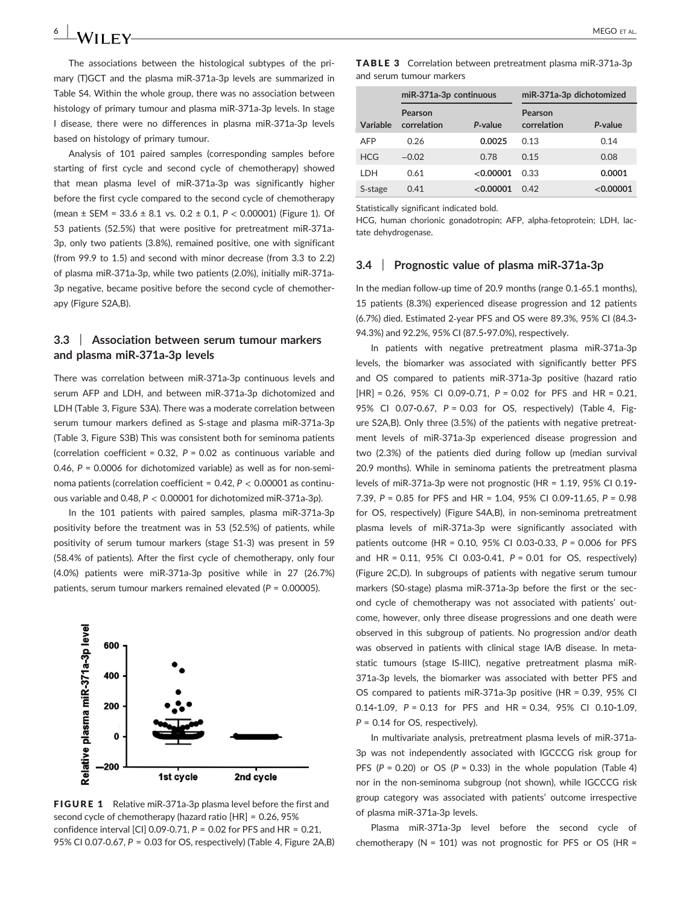The associations between the histological subtypes of the primary (T)GCT and the plasma miR‐371a‐3p levels are summarized in Table S4. Within the whole group, there was no association between histology of primary tumour and plasma miR‐371a‐3p levels. In stage I disease, there were no differences in plasma miR‐371a‐3p levels based on histology of primary tumour.

Analysis of 101 paired samples (corresponding samples before starting of first cycle and second cycle of chemotherapy) showed that mean plasma level of miR‐371a‐3p was significantly higher before the first cycle compared to the second cycle of chemotherapy (mean ± SEM = 33.6 ± 8.1 vs. 0.2 ± 0.1, *P* < 0.00001) (Figure 1). Of 53 patients (52.5%) that were positive for pretreatment miR‐371a‐ 3p, only two patients (3.8%), remained positive, one with significant (from 99.9 to 1.5) and second with minor decrease (from 3.3 to 2.2) of plasma miR‐371a‐3p, while two patients (2.0%), initially miR‐371a‐ 3p negative, became positive before the second cycle of chemotherapy (Figure S2A,B).

## **3.3** | **Association between serum tumour markers and plasma miR‐371a‐3p levels**

There was correlation between miR‐371a‐3p continuous levels and serum AFP and LDH, and between miR‐371a‐3p dichotomized and LDH (Table 3, Figure S3A). There was a moderate correlation between serum tumour markers defined as S-stage and plasma miR-371a-3p (Table 3, Figure S3B) This was consistent both for seminoma patients (correlation coefficient = 0.32, *P* = 0.02 as continuous variable and 0.46, *P* = 0.0006 for dichotomized variable) as well as for non‐seminoma patients (correlation coefficient = 0.42, *P* < 0.00001 as continuous variable and 0.48, *P* < 0.00001 for dichotomized miR‐371a‐3p).

In the 101 patients with paired samples, plasma miR‐371a‐3p positivity before the treatment was in 53 (52.5%) of patients, while positivity of serum tumour markers (stage S1‐3) was present in 59 (58.4% of patients). After the first cycle of chemotherapy, only four (4.0%) patients were miR‐371a‐3p positive while in 27 (26.7%) patients, serum tumour markers remained elevated (*P* = 0.00005).



FIGURE 1 Relative miR-371a-3p plasma level before the first and second cycle of chemotherapy (hazard ratio [HR] = 0.26, 95% confidence interval [CI] 0.09‐0.71, *P* = 0.02 for PFS and HR = 0.21, 95% CI 0.07‐0.67, *P* = 0.03 for OS, respectively) (Table 4, Figure 2A,B)

TABLE 3 Correlation between pretreatment plasma miR‐371a‐3p and serum tumour markers

|            | miR-371a-3p continuous |           | miR-371a-3p dichotomized |           |  |  |
|------------|------------------------|-----------|--------------------------|-----------|--|--|
| Variable   | Pearson<br>correlation | P-value   | Pearson<br>correlation   | P-value   |  |  |
| AFP        | 0.26                   | 0.0025    | 0.13                     | 0.14      |  |  |
| <b>HCG</b> | $-0.02$                | 0.78      | 0.15                     | 0.08      |  |  |
| I DH       | 0.61                   | < 0.00001 | 0.33                     | 0.0001    |  |  |
| S-stage    | 0.41                   | < 0.00001 | 0.42                     | < 0.00001 |  |  |

Statistically significant indicated bold.

HCG, human chorionic gonadotropin; AFP, alpha‐fetoprotein; LDH, lactate dehydrogenase.

## **3.4** | **Prognostic value of plasma miR‐371a‐3p**

In the median follow‐up time of 20.9 months (range 0.1‐65.1 months), 15 patients (8.3%) experienced disease progression and 12 patients (6.7%) died. Estimated 2‐year PFS and OS were 89.3%, 95% CI (84.3**-** 94.3%) and 92.2%, 95% CI (87.5**-**97.0%), respectively.

In patients with negative pretreatment plasma miR‐371a‐3p levels, the biomarker was associated with significantly better PFS and OS compared to patients miR‐371a‐3p positive (hazard ratio [HR] = 0.26, 95% CI 0.09**-**0.71, *P* = 0.02 for PFS and HR = 0.21, 95% CI 0.07**-**0.67, *P* = 0.03 for OS, respectively) (Table 4, Figure S2A,B). Only three (3.5%) of the patients with negative pretreatment levels of miR‐371a‐3p experienced disease progression and two (2.3%) of the patients died during follow up (median survival 20.9 months). While in seminoma patients the pretreatment plasma levels of miR‐371a‐3p were not prognostic (HR = 1.19, 95% CI 0.19**-** 7.39, *P* = 0.85 for PFS and HR = 1.04, 95% CI 0.09**-**11.65, *P* = 0.98 for OS, respectively) (Figure S4A,B), in non‐seminoma pretreatment plasma levels of miR‐371a‐3p were significantly associated with patients outcome (HR = 0.10, 95% CI 0.03**-**0.33, *P* = 0.006 for PFS and HR = 0.11, 95% CI 0.03**-**0.41, *P* = 0.01 for OS, respectively) (Figure 2C,D). In subgroups of patients with negative serum tumour markers (S0‐stage) plasma miR‐371a‐3p before the first or the second cycle of chemotherapy was not associated with patients' outcome, however, only three disease progressions and one death were observed in this subgroup of patients. No progression and/or death was observed in patients with clinical stage IA/B disease. In metastatic tumours (stage IS-IIIC), negative pretreatment plasma miR-371a‐3p levels, the biomarker was associated with better PFS and OS compared to patients miR‐371a‐3p positive (HR = 0.39, 95% CI 0.14**-**1.09, *P* = 0.13 for PFS and HR = 0.34, 95% CI 0.10**-**1.09, *P* = 0.14 for OS, respectively).

In multivariate analysis, pretreatment plasma levels of miR‐371a‐ 3p was not independently associated with IGCCCG risk group for PFS  $(P = 0.20)$  or OS  $(P = 0.33)$  in the whole population (Table 4) nor in the non‐seminoma subgroup (not shown), while IGCCCG risk group category was associated with patients' outcome irrespective of plasma miR‐371a‐3p levels.

Plasma miR‐371a‐3p level before the second cycle of chemotherapy ( $N = 101$ ) was not prognostic for PFS or OS ( $HR =$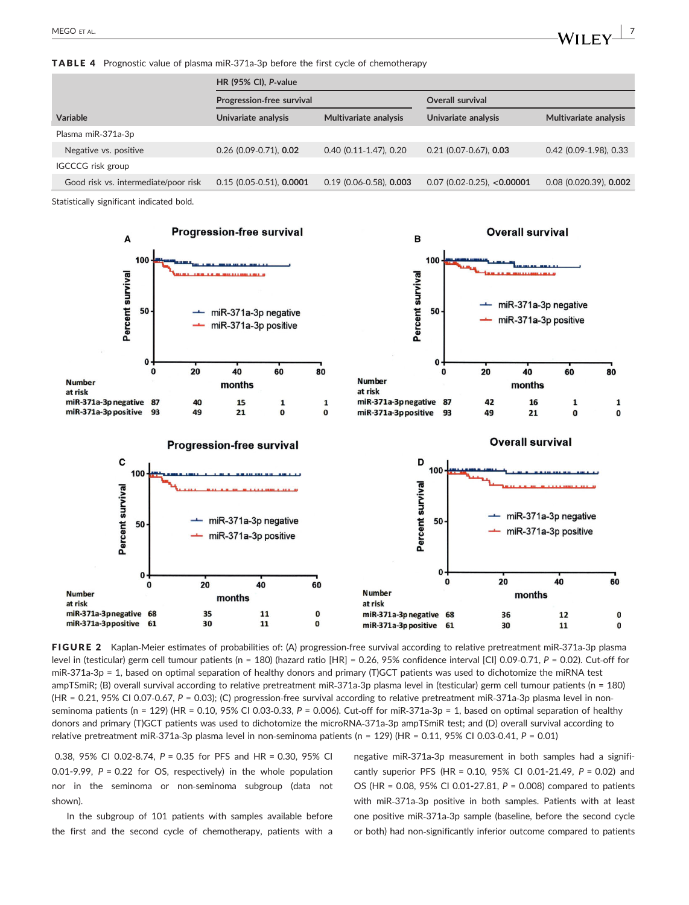TABLE 4 Prognostic value of plasma miR‐371a‐3p before the first cycle of chemotherapy

|                                      | <b>HR (95% CI), P-value</b> |                           |                              |                          |  |  |
|--------------------------------------|-----------------------------|---------------------------|------------------------------|--------------------------|--|--|
|                                      | Progression-free survival   |                           | Overall survival             |                          |  |  |
| Variable                             | Univariate analysis         | Multivariate analysis     | Univariate analysis          | Multivariate analysis    |  |  |
| Plasma miR-371a-3p                   |                             |                           |                              |                          |  |  |
| Negative vs. positive                | $0.26$ (0.09-0.71), 0.02    | $0.40$ (0.11-1.47), 0.20  | $0.21$ (0.07-0.67), 0.03     | $0.42$ (0.09-1.98), 0.33 |  |  |
| <b>IGCCCG</b> risk group             |                             |                           |                              |                          |  |  |
| Good risk vs. intermediate/poor risk | $0.15$ (0.05-0.51), 0.0001  | $0.19$ (0.06-0.58), 0.003 | $0.07$ (0.02-0.25), <0.00001 | $0.08$ (0.020.39), 0.002 |  |  |

Statistically significant indicated bold.



FIGURE 2 Kaplan‐Meier estimates of probabilities of: (A) progression‐free survival according to relative pretreatment miR‐371a‐3p plasma level in (testicular) germ cell tumour patients (n = 180) (hazard ratio [HR] = 0.26, 95% confidence interval [CI] 0.09‐0.71, *P* = 0.02). Cut‐off for miR-371a-3p = 1, based on optimal separation of healthy donors and primary (T)GCT patients was used to dichotomize the miRNA test ampTSmiR; (B) overall survival according to relative pretreatment miR‐371a‐3p plasma level in (testicular) germ cell tumour patients (n = 180) (HR = 0.21, 95% CI 0.07‐0.67, *P* = 0.03); (C) progression‐free survival according to relative pretreatment miR‐371a‐3p plasma level in non‐ seminoma patients (n = 129) (HR = 0.10, 95% CI 0.03-0.33, P = 0.006). Cut-off for miR-371a-3p = 1, based on optimal separation of healthy donors and primary (T)GCT patients was used to dichotomize the microRNA‐371a‐3p ampTSmiR test; and (D) overall survival according to relative pretreatment miR‐371a‐3p plasma level in non‐seminoma patients (n = 129) (HR = 0.11, 95% CI 0.03‐0.41, *P* = 0.01)

0.38, 95% CI 0.02**-**8.74, *P* = 0.35 for PFS and HR = 0.30, 95% CI 0.01**-**9.99, *P* = 0.22 for OS, respectively) in the whole population nor in the seminoma or non‐seminoma subgroup (data not shown).

In the subgroup of 101 patients with samples available before the first and the second cycle of chemotherapy, patients with a negative miR‐371a‐3p measurement in both samples had a significantly superior PFS (HR = 0.10, 95% CI 0.01**-**21.49, *P* = 0.02) and OS (HR = 0.08, 95% CI 0.01**-**27.81, *P* = 0.008) compared to patients with miR‐371a‐3p positive in both samples. Patients with at least one positive miR‐371a‐3p sample (baseline, before the second cycle or both) had non‐significantly inferior outcome compared to patients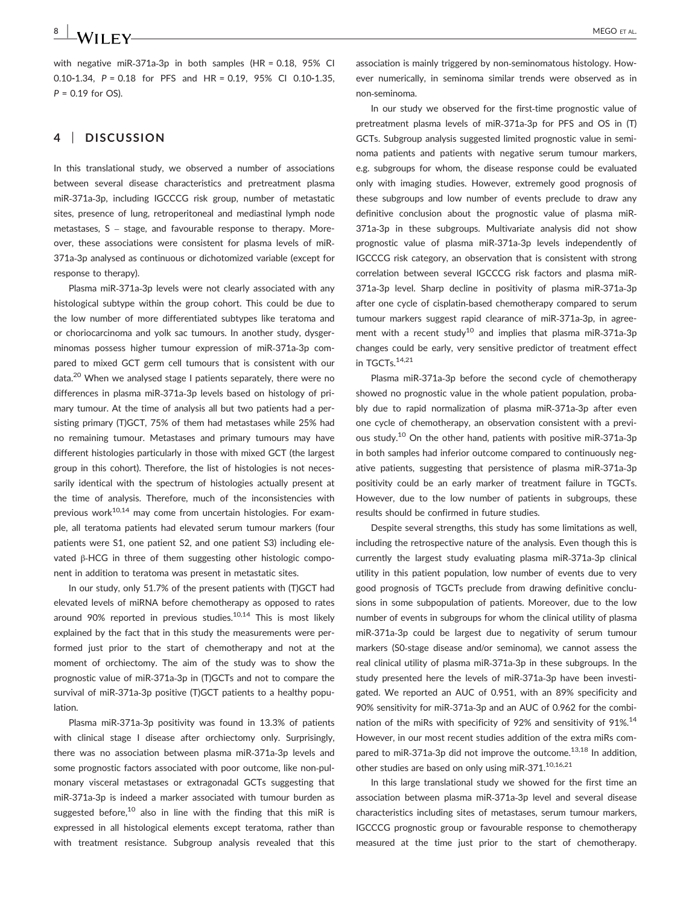# **8** | MEGO ET AL.

with negative miR‐371a‐3p in both samples (HR = 0.18, 95% CI 0.10**-**1.34, *P* = 0.18 for PFS and HR = 0.19, 95% CI 0.10**-**1.35, *P* = 0.19 for OS).

## **4** | **DISCUSSION**

In this translational study, we observed a number of associations between several disease characteristics and pretreatment plasma miR‐371a‐3p, including IGCCCG risk group, number of metastatic sites, presence of lung, retroperitoneal and mediastinal lymph node metastases, S – stage, and favourable response to therapy. Moreover, these associations were consistent for plasma levels of miR‐ 371a‐3p analysed as continuous or dichotomized variable (except for response to therapy).

Plasma miR‐371a‐3p levels were not clearly associated with any histological subtype within the group cohort. This could be due to the low number of more differentiated subtypes like teratoma and or choriocarcinoma and yolk sac tumours. In another study, dysgerminomas possess higher tumour expression of miR‐371a‐3p compared to mixed GCT germ cell tumours that is consistent with our data.<sup>20</sup> When we analysed stage I patients separately, there were no differences in plasma miR‐371a‐3p levels based on histology of primary tumour. At the time of analysis all but two patients had a persisting primary (T)GCT, 75% of them had metastases while 25% had no remaining tumour. Metastases and primary tumours may have different histologies particularly in those with mixed GCT (the largest group in this cohort). Therefore, the list of histologies is not necessarily identical with the spectrum of histologies actually present at the time of analysis. Therefore, much of the inconsistencies with previous work $10,14$  may come from uncertain histologies. For example, all teratoma patients had elevated serum tumour markers (four patients were S1, one patient S2, and one patient S3) including elevated β‐HCG in three of them suggesting other histologic component in addition to teratoma was present in metastatic sites.

In our study, only 51.7% of the present patients with (T)GCT had elevated levels of miRNA before chemotherapy as opposed to rates around 90% reported in previous studies. $10,14$  This is most likely explained by the fact that in this study the measurements were performed just prior to the start of chemotherapy and not at the moment of orchiectomy. The aim of the study was to show the prognostic value of miR‐371a‐3p in (T)GCTs and not to compare the survival of miR‐371a‐3p positive (T)GCT patients to a healthy population.

Plasma miR‐371a‐3p positivity was found in 13.3% of patients with clinical stage I disease after orchiectomy only. Surprisingly, there was no association between plasma miR‐371a‐3p levels and some prognostic factors associated with poor outcome, like non‐pulmonary visceral metastases or extragonadal GCTs suggesting that miR‐371a‐3p is indeed a marker associated with tumour burden as suggested before,<sup>10</sup> also in line with the finding that this miR is expressed in all histological elements except teratoma, rather than with treatment resistance. Subgroup analysis revealed that this association is mainly triggered by non‐seminomatous histology. However numerically, in seminoma similar trends were observed as in non‐seminoma.

In our study we observed for the first-time prognostic value of pretreatment plasma levels of miR‐371a‐3p for PFS and OS in (T) GCTs. Subgroup analysis suggested limited prognostic value in seminoma patients and patients with negative serum tumour markers, e.g. subgroups for whom, the disease response could be evaluated only with imaging studies. However, extremely good prognosis of these subgroups and low number of events preclude to draw any definitive conclusion about the prognostic value of plasma miR‐ 371a‐3p in these subgroups. Multivariate analysis did not show prognostic value of plasma miR‐371a‐3p levels independently of IGCCCG risk category, an observation that is consistent with strong correlation between several IGCCCG risk factors and plasma miR‐ 371a‐3p level. Sharp decline in positivity of plasma miR‐371a‐3p after one cycle of cisplatin‐based chemotherapy compared to serum tumour markers suggest rapid clearance of miR‐371a‐3p, in agreement with a recent study<sup>10</sup> and implies that plasma miR-371a-3p changes could be early, very sensitive predictor of treatment effect in TGCTs.<sup>14,21</sup>

Plasma miR‐371a‐3p before the second cycle of chemotherapy showed no prognostic value in the whole patient population, probably due to rapid normalization of plasma miR‐371a‐3p after even one cycle of chemotherapy, an observation consistent with a previous study.10 On the other hand, patients with positive miR‐371a‐3p in both samples had inferior outcome compared to continuously negative patients, suggesting that persistence of plasma miR‐371a‐3p positivity could be an early marker of treatment failure in TGCTs. However, due to the low number of patients in subgroups, these results should be confirmed in future studies.

Despite several strengths, this study has some limitations as well, including the retrospective nature of the analysis. Even though this is currently the largest study evaluating plasma miR‐371a‐3p clinical utility in this patient population, low number of events due to very good prognosis of TGCTs preclude from drawing definitive conclusions in some subpopulation of patients. Moreover, due to the low number of events in subgroups for whom the clinical utility of plasma miR‐371a‐3p could be largest due to negativity of serum tumour markers (S0‐stage disease and/or seminoma), we cannot assess the real clinical utility of plasma miR‐371a‐3p in these subgroups. In the study presented here the levels of miR‐371a‐3p have been investigated. We reported an AUC of 0.951, with an 89% specificity and 90% sensitivity for miR‐371a‐3p and an AUC of 0.962 for the combination of the miRs with specificity of 92% and sensitivity of 91%.<sup>14</sup> However, in our most recent studies addition of the extra miRs compared to miR-371a-3p did not improve the outcome.<sup>13,18</sup> In addition, other studies are based on only using miR-371.<sup>10,16,21</sup>

In this large translational study we showed for the first time an association between plasma miR‐371a‐3p level and several disease characteristics including sites of metastases, serum tumour markers, IGCCCG prognostic group or favourable response to chemotherapy measured at the time just prior to the start of chemotherapy.